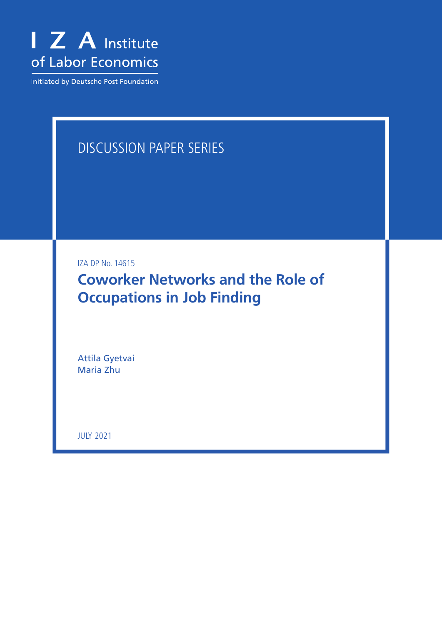

Initiated by Deutsche Post Foundation

# DISCUSSION PAPER SERIES

IZA DP No. 14615

**Coworker Networks and the Role of Occupations in Job Finding**

Attila Gyetvai Maria Zhu

JULY 2021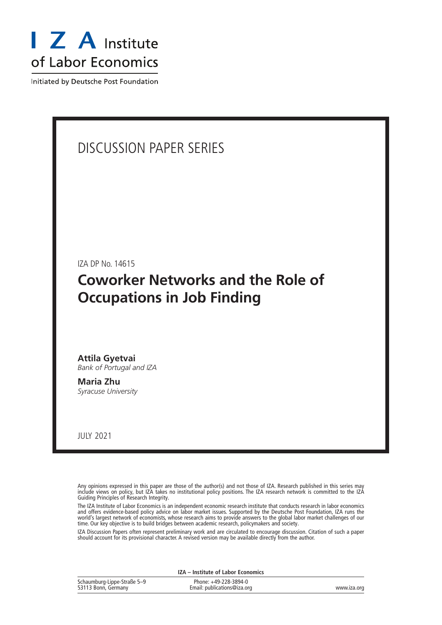

Initiated by Deutsche Post Foundation

## DISCUSSION PAPER SERIES

IZA DP No. 14615

## **Coworker Networks and the Role of Occupations in Job Finding**

**Attila Gyetvai** *Bank of Portugal and IZA*

**Maria Zhu** *Syracuse University*

JULY 2021

Any opinions expressed in this paper are those of the author(s) and not those of IZA. Research published in this series may include views on policy, but IZA takes no institutional policy positions. The IZA research network is committed to the IZA Guiding Principles of Research Integrity.

The IZA Institute of Labor Economics is an independent economic research institute that conducts research in labor economics and offers evidence-based policy advice on labor market issues. Supported by the Deutsche Post Foundation, IZA runs the world's largest network of economists, whose research aims to provide answers to the global labor market challenges of our time. Our key objective is to build bridges between academic research, policymakers and society.

IZA Discussion Papers often represent preliminary work and are circulated to encourage discussion. Citation of such a paper should account for its provisional character. A revised version may be available directly from the author.

| IZA - Institute of Labor Economics                 |                                                      |             |  |  |  |
|----------------------------------------------------|------------------------------------------------------|-------------|--|--|--|
| Schaumburg-Lippe-Straße 5–9<br>53113 Bonn, Germany | Phone: +49-228-3894-0<br>Email: publications@iza.org | www.iza.org |  |  |  |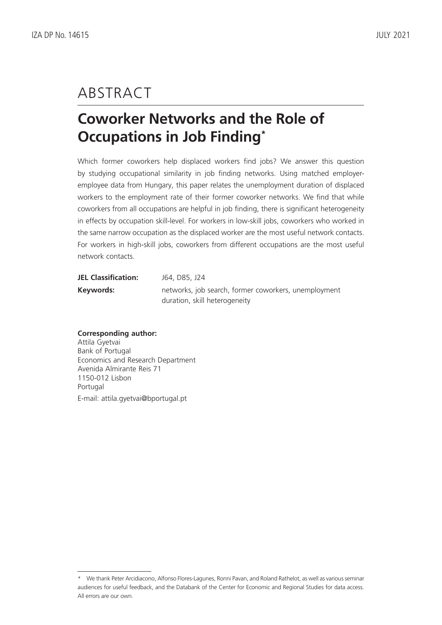# ABSTRACT

# **Coworker Networks and the Role of Occupations in Job Finding\***

Which former coworkers help displaced workers find jobs? We answer this question by studying occupational similarity in job finding networks. Using matched employeremployee data from Hungary, this paper relates the unemployment duration of displaced workers to the employment rate of their former coworker networks. We find that while coworkers from all occupations are helpful in job finding, there is significant heterogeneity in effects by occupation skill-level. For workers in low-skill jobs, coworkers who worked in the same narrow occupation as the displaced worker are the most useful network contacts. For workers in high-skill jobs, coworkers from different occupations are the most useful network contacts.

| <b>JEL Classification:</b> | J64, D85, J24                                        |
|----------------------------|------------------------------------------------------|
| Keywords:                  | networks, job search, former coworkers, unemployment |
|                            | duration, skill heterogeneity                        |

#### **Corresponding author:**

Attila Gyetvai Bank of Portugal Economics and Research Department Avenida Almirante Reis 71 1150-012 Lisbon Portugal E-mail: attila.gyetvai@bportugal.pt

<sup>\*</sup> We thank Peter Arcidiacono, Alfonso Flores-Lagunes, Ronni Pavan, and Roland Rathelot, as well as various seminar audiences for useful feedback, and the Databank of the Center for Economic and Regional Studies for data access. All errors are our own.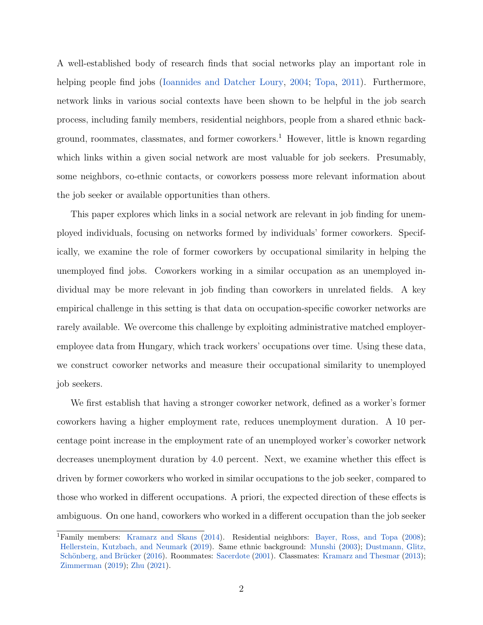A well-established body of research finds that social networks play an important role in helping people find jobs [\(Ioannides and Datcher Loury,](#page-26-0) [2004;](#page-26-0) [Topa,](#page-26-1) [2011\)](#page-26-1). Furthermore, network links in various social contexts have been shown to be helpful in the job search process, including family members, residential neighbors, people from a shared ethnic back-ground, roommates, classmates, and former coworkers.<sup>[1](#page-3-0)</sup> However, little is known regarding which links within a given social network are most valuable for job seekers. Presumably, some neighbors, co-ethnic contacts, or coworkers possess more relevant information about the job seeker or available opportunities than others.

This paper explores which links in a social network are relevant in job finding for unemployed individuals, focusing on networks formed by individuals' former coworkers. Specifically, we examine the role of former coworkers by occupational similarity in helping the unemployed find jobs. Coworkers working in a similar occupation as an unemployed individual may be more relevant in job finding than coworkers in unrelated fields. A key empirical challenge in this setting is that data on occupation-specific coworker networks are rarely available. We overcome this challenge by exploiting administrative matched employeremployee data from Hungary, which track workers' occupations over time. Using these data, we construct coworker networks and measure their occupational similarity to unemployed job seekers.

We first establish that having a stronger coworker network, defined as a worker's former coworkers having a higher employment rate, reduces unemployment duration. A 10 percentage point increase in the employment rate of an unemployed worker's coworker network decreases unemployment duration by 4.0 percent. Next, we examine whether this effect is driven by former coworkers who worked in similar occupations to the job seeker, compared to those who worked in different occupations. A priori, the expected direction of these effects is ambiguous. On one hand, coworkers who worked in a different occupation than the job seeker

<span id="page-3-0"></span><sup>&</sup>lt;sup>1</sup>Family members: [Kramarz and Skans](#page-26-2) [\(2014\)](#page-26-2). Residential neighbors: [Bayer, Ross, and Topa](#page-25-0) [\(2008\)](#page-25-0); [Hellerstein, Kutzbach, and Neumark](#page-26-3) [\(2019\)](#page-26-3). Same ethnic background: [Munshi](#page-26-4) [\(2003\)](#page-26-4); [Dustmann, Glitz,](#page-25-1) Schönberg, and Brücker [\(2016\)](#page-25-1). Roommates: [Sacerdote](#page-26-5) [\(2001\)](#page-26-5). Classmates: [Kramarz and Thesmar](#page-26-6) [\(2013\)](#page-26-6); [Zimmerman](#page-27-0) [\(2019\)](#page-27-0); [Zhu](#page-27-1) [\(2021\)](#page-27-1).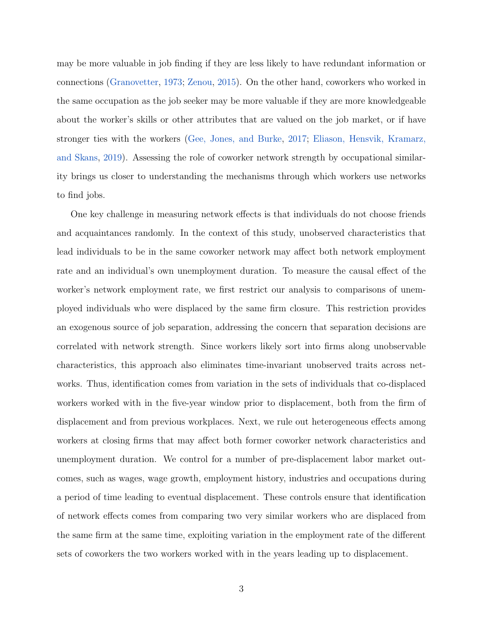may be more valuable in job finding if they are less likely to have redundant information or connections [\(Granovetter,](#page-25-2) [1973;](#page-25-2) [Zenou,](#page-27-2) [2015\)](#page-27-2). On the other hand, coworkers who worked in the same occupation as the job seeker may be more valuable if they are more knowledgeable about the worker's skills or other attributes that are valued on the job market, or if have stronger ties with the workers [\(Gee, Jones, and Burke,](#page-25-3) [2017;](#page-25-3) [Eliason, Hensvik, Kramarz,](#page-25-4) [and Skans,](#page-25-4) [2019\)](#page-25-4). Assessing the role of coworker network strength by occupational similarity brings us closer to understanding the mechanisms through which workers use networks to find jobs.

One key challenge in measuring network effects is that individuals do not choose friends and acquaintances randomly. In the context of this study, unobserved characteristics that lead individuals to be in the same coworker network may affect both network employment rate and an individual's own unemployment duration. To measure the causal effect of the worker's network employment rate, we first restrict our analysis to comparisons of unemployed individuals who were displaced by the same firm closure. This restriction provides an exogenous source of job separation, addressing the concern that separation decisions are correlated with network strength. Since workers likely sort into firms along unobservable characteristics, this approach also eliminates time-invariant unobserved traits across networks. Thus, identification comes from variation in the sets of individuals that co-displaced workers worked with in the five-year window prior to displacement, both from the firm of displacement and from previous workplaces. Next, we rule out heterogeneous effects among workers at closing firms that may affect both former coworker network characteristics and unemployment duration. We control for a number of pre-displacement labor market outcomes, such as wages, wage growth, employment history, industries and occupations during a period of time leading to eventual displacement. These controls ensure that identification of network effects comes from comparing two very similar workers who are displaced from the same firm at the same time, exploiting variation in the employment rate of the different sets of coworkers the two workers worked with in the years leading up to displacement.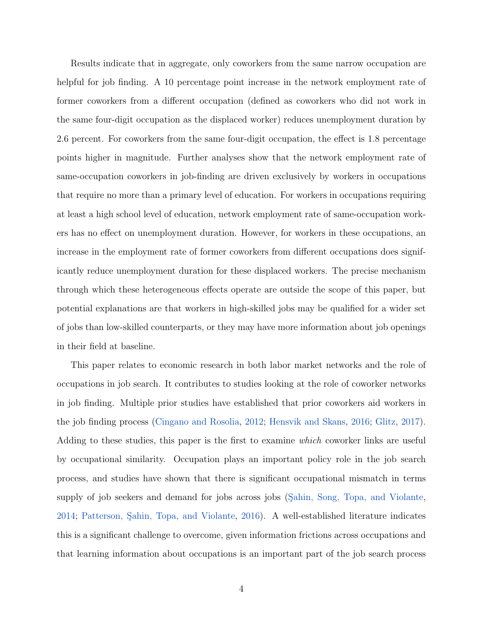Results indicate that in aggregate, only coworkers from the same narrow occupation are helpful for job finding. A 10 percentage point increase in the network employment rate of former coworkers from a different occupation (defined as coworkers who did not work in the same four-digit occupation as the displaced worker) reduces unemployment duration by 2.6 percent. For coworkers from the same four-digit occupation, the effect is 1.8 percentage points higher in magnitude. Further analyses show that the network employment rate of same-occupation coworkers in job-finding are driven exclusively by workers in occupations that require no more than a primary level of education. For workers in occupations requiring at least a high school level of education, network employment rate of same-occupation workers has no effect on unemployment duration. However, for workers in these occupations, an increase in the employment rate of former coworkers from different occupations does significantly reduce unemployment duration for these displaced workers. The precise mechanism through which these heterogeneous effects operate are outside the scope of this paper, but potential explanations are that workers in high-skilled jobs may be qualified for a wider set of jobs than low-skilled counterparts, or they may have more information about job openings in their field at baseline.

This paper relates to economic research in both labor market networks and the role of occupations in job search. It contributes to studies looking at the role of coworker networks in job finding. Multiple prior studies have established that prior coworkers aid workers in the job finding process [\(Cingano and Rosolia,](#page-25-5) [2012;](#page-25-5) [Hensvik and Skans,](#page-26-7) [2016;](#page-26-7) [Glitz,](#page-25-6) [2017\)](#page-25-6). Adding to these studies, this paper is the first to examine which coworker links are useful by occupational similarity. Occupation plays an important policy role in the job search process, and studies have shown that there is significant occupational mismatch in terms supply of job seekers and demand for jobs across jobs (Sahin, Song, Topa, and Violante, [2014;](#page-27-3) Patterson, Sahin, Topa, and Violante, [2016\)](#page-26-8). A well-established literature indicates this is a significant challenge to overcome, given information frictions across occupations and that learning information about occupations is an important part of the job search process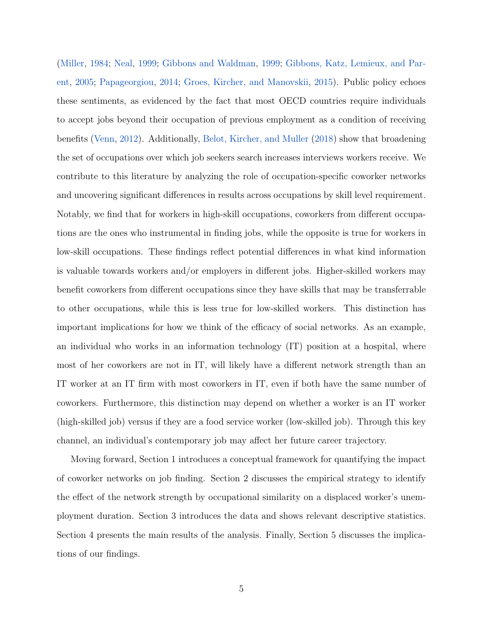[\(Miller,](#page-26-9) [1984;](#page-26-9) [Neal,](#page-26-10) [1999;](#page-26-10) [Gibbons and Waldman,](#page-25-7) [1999;](#page-25-7) [Gibbons, Katz, Lemieux, and Par](#page-25-8)[ent,](#page-25-8) [2005;](#page-25-8) [Papageorgiou,](#page-26-11) [2014;](#page-26-11) [Groes, Kircher, and Manovskii,](#page-26-12) [2015\)](#page-26-12). Public policy echoes these sentiments, as evidenced by the fact that most OECD countries require individuals to accept jobs beyond their occupation of previous employment as a condition of receiving benefits [\(Venn,](#page-26-13) [2012\)](#page-26-13). Additionally, [Belot, Kircher, and Muller](#page-25-9) [\(2018\)](#page-25-9) show that broadening the set of occupations over which job seekers search increases interviews workers receive. We contribute to this literature by analyzing the role of occupation-specific coworker networks and uncovering significant differences in results across occupations by skill level requirement. Notably, we find that for workers in high-skill occupations, coworkers from different occupations are the ones who instrumental in finding jobs, while the opposite is true for workers in low-skill occupations. These findings reflect potential differences in what kind information is valuable towards workers and/or employers in different jobs. Higher-skilled workers may benefit coworkers from different occupations since they have skills that may be transferrable to other occupations, while this is less true for low-skilled workers. This distinction has important implications for how we think of the efficacy of social networks. As an example, an individual who works in an information technology (IT) position at a hospital, where most of her coworkers are not in IT, will likely have a different network strength than an IT worker at an IT firm with most coworkers in IT, even if both have the same number of coworkers. Furthermore, this distinction may depend on whether a worker is an IT worker (high-skilled job) versus if they are a food service worker (low-skilled job). Through this key channel, an individual's contemporary job may affect her future career trajectory.

<span id="page-6-0"></span>Moving forward, Section [1](#page-6-0) introduces a conceptual framework for quantifying the impact of coworker networks on job finding. Section [2](#page-9-0) discusses the empirical strategy to identify the effect of the network strength by occupational similarity on a displaced worker's unemployment duration. Section [3](#page-12-0) introduces the data and shows relevant descriptive statistics. Section [4](#page-17-0) presents the main results of the analysis. Finally, Section [5](#page-23-0) discusses the implications of our findings.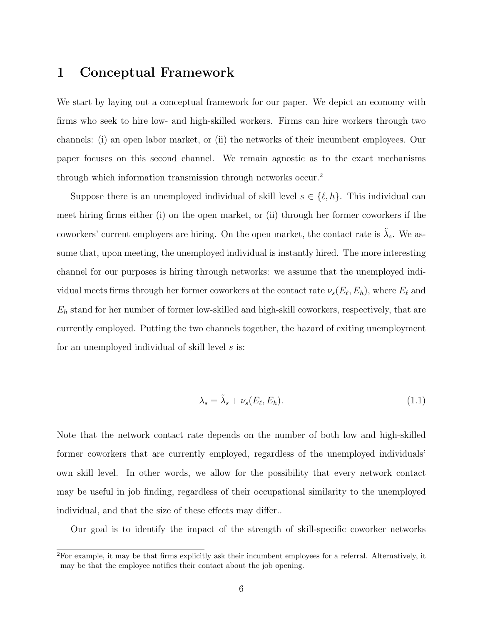### 1 Conceptual Framework

We start by laying out a conceptual framework for our paper. We depict an economy with firms who seek to hire low- and high-skilled workers. Firms can hire workers through two channels: (i) an open labor market, or (ii) the networks of their incumbent employees. Our paper focuses on this second channel. We remain agnostic as to the exact mechanisms through which information transmission through networks occur.[2](#page-7-0)

Suppose there is an unemployed individual of skill level  $s \in \{\ell, h\}$ . This individual can meet hiring firms either (i) on the open market, or (ii) through her former coworkers if the coworkers' current employers are hiring. On the open market, the contact rate is  $\tilde{\lambda}_s$ . We assume that, upon meeting, the unemployed individual is instantly hired. The more interesting channel for our purposes is hiring through networks: we assume that the unemployed individual meets firms through her former coworkers at the contact rate  $\nu_s(E_\ell,E_h)$ , where  $E_\ell$  and  $E_h$  stand for her number of former low-skilled and high-skill coworkers, respectively, that are currently employed. Putting the two channels together, the hazard of exiting unemployment for an unemployed individual of skill level s is:

$$
\lambda_s = \tilde{\lambda}_s + \nu_s(E_\ell, E_h). \tag{1.1}
$$

Note that the network contact rate depends on the number of both low and high-skilled former coworkers that are currently employed, regardless of the unemployed individuals' own skill level. In other words, we allow for the possibility that every network contact may be useful in job finding, regardless of their occupational similarity to the unemployed individual, and that the size of these effects may differ..

Our goal is to identify the impact of the strength of skill-specific coworker networks

<span id="page-7-0"></span><sup>2</sup>For example, it may be that firms explicitly ask their incumbent employees for a referral. Alternatively, it may be that the employee notifies their contact about the job opening.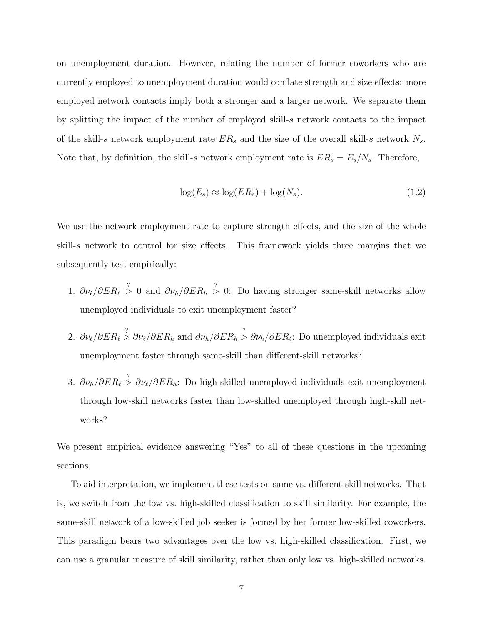on unemployment duration. However, relating the number of former coworkers who are currently employed to unemployment duration would conflate strength and size effects: more employed network contacts imply both a stronger and a larger network. We separate them by splitting the impact of the number of employed skill-s network contacts to the impact of the skill-s network employment rate  $ER_s$  and the size of the overall skill-s network  $N_s$ . Note that, by definition, the skill-s network employment rate is  $ER_s = E_s/N_s$ . Therefore,

$$
\log(E_s) \approx \log(ER_s) + \log(N_s). \tag{1.2}
$$

We use the network employment rate to capture strength effects, and the size of the whole skill-s network to control for size effects. This framework yields three margins that we subsequently test empirically:

- 1.  $\partial \nu_{\ell}/\partial ER_{\ell} \stackrel{?}{>} 0$  and  $\partial \nu_{h}/\partial ER_{h} \stackrel{?}{>} 0$ : Do having stronger same-skill networks allow unemployed individuals to exit unemployment faster?
- 2.  $\partial \nu_{\ell}/\partial ER_{\ell} \stackrel{?}{>} \partial \nu_{\ell}/\partial ER_{h}$  and  $\partial \nu_{h}/\partial ER_{h} \stackrel{?}{>} \partial \nu_{h}/\partial ER_{\ell}$ : Do unemployed individuals exit unemployment faster through same-skill than different-skill networks?
- 3.  $\partial \nu_h / \partial ER_\ell \stackrel{?}{>} \partial \nu_\ell / \partial ER_h$ : Do high-skilled unemployed individuals exit unemployment through low-skill networks faster than low-skilled unemployed through high-skill networks?

We present empirical evidence answering "Yes" to all of these questions in the upcoming sections.

To aid interpretation, we implement these tests on same vs. different-skill networks. That is, we switch from the low vs. high-skilled classification to skill similarity. For example, the same-skill network of a low-skilled job seeker is formed by her former low-skilled coworkers. This paradigm bears two advantages over the low vs. high-skilled classification. First, we can use a granular measure of skill similarity, rather than only low vs. high-skilled networks.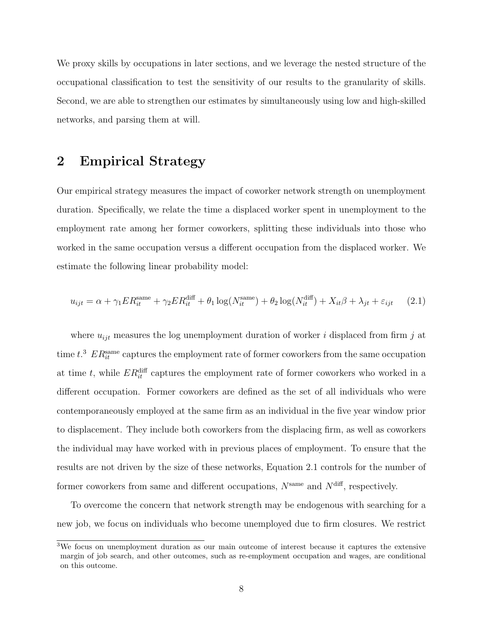We proxy skills by occupations in later sections, and we leverage the nested structure of the occupational classification to test the sensitivity of our results to the granularity of skills. Second, we are able to strengthen our estimates by simultaneously using low and high-skilled networks, and parsing them at will.

### <span id="page-9-0"></span>2 Empirical Strategy

Our empirical strategy measures the impact of coworker network strength on unemployment duration. Specifically, we relate the time a displaced worker spent in unemployment to the employment rate among her former coworkers, splitting these individuals into those who worked in the same occupation versus a different occupation from the displaced worker. We estimate the following linear probability model:

<span id="page-9-2"></span>
$$
u_{ijt} = \alpha + \gamma_1 ER_{it}^{\text{same}} + \gamma_2 ER_{it}^{\text{diff}} + \theta_1 \log(N_{it}^{\text{same}}) + \theta_2 \log(N_{it}^{\text{diff}}) + X_{it}\beta + \lambda_{jt} + \varepsilon_{ijt} \tag{2.1}
$$

where  $u_{ijt}$  measures the log unemployment duration of worker i displaced from firm j at time  $t^3$  $t^3$   $ER_{it}^{\text{same}}$  captures the employment rate of former coworkers from the same occupation at time t, while  $ER_{it}^{\text{diff}}$  captures the employment rate of former coworkers who worked in a different occupation. Former coworkers are defined as the set of all individuals who were contemporaneously employed at the same firm as an individual in the five year window prior to displacement. They include both coworkers from the displacing firm, as well as coworkers the individual may have worked with in previous places of employment. To ensure that the results are not driven by the size of these networks, Equation [2.1](#page-9-2) controls for the number of former coworkers from same and different occupations,  $N^{\text{same}}$  and  $N^{\text{diff}}$ , respectively.

To overcome the concern that network strength may be endogenous with searching for a new job, we focus on individuals who become unemployed due to firm closures. We restrict

<span id="page-9-1"></span><sup>3</sup>We focus on unemployment duration as our main outcome of interest because it captures the extensive margin of job search, and other outcomes, such as re-employment occupation and wages, are conditional on this outcome.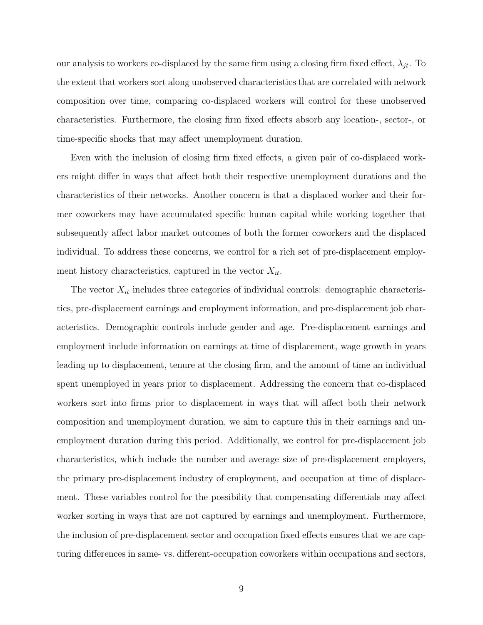our analysis to workers co-displaced by the same firm using a closing firm fixed effect,  $\lambda_{it}$ . To the extent that workers sort along unobserved characteristics that are correlated with network composition over time, comparing co-displaced workers will control for these unobserved characteristics. Furthermore, the closing firm fixed effects absorb any location-, sector-, or time-specific shocks that may affect unemployment duration.

Even with the inclusion of closing firm fixed effects, a given pair of co-displaced workers might differ in ways that affect both their respective unemployment durations and the characteristics of their networks. Another concern is that a displaced worker and their former coworkers may have accumulated specific human capital while working together that subsequently affect labor market outcomes of both the former coworkers and the displaced individual. To address these concerns, we control for a rich set of pre-displacement employment history characteristics, captured in the vector  $X_{it}$ .

The vector  $X_{it}$  includes three categories of individual controls: demographic characteristics, pre-displacement earnings and employment information, and pre-displacement job characteristics. Demographic controls include gender and age. Pre-displacement earnings and employment include information on earnings at time of displacement, wage growth in years leading up to displacement, tenure at the closing firm, and the amount of time an individual spent unemployed in years prior to displacement. Addressing the concern that co-displaced workers sort into firms prior to displacement in ways that will affect both their network composition and unemployment duration, we aim to capture this in their earnings and unemployment duration during this period. Additionally, we control for pre-displacement job characteristics, which include the number and average size of pre-displacement employers, the primary pre-displacement industry of employment, and occupation at time of displacement. These variables control for the possibility that compensating differentials may affect worker sorting in ways that are not captured by earnings and unemployment. Furthermore, the inclusion of pre-displacement sector and occupation fixed effects ensures that we are capturing differences in same- vs. different-occupation coworkers within occupations and sectors,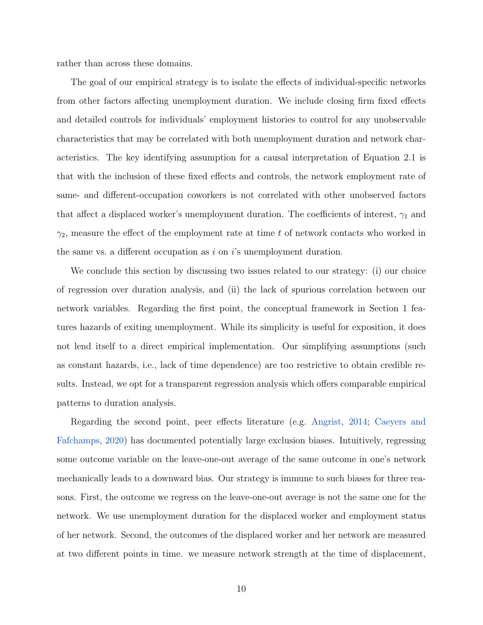rather than across these domains.

The goal of our empirical strategy is to isolate the effects of individual-specific networks from other factors affecting unemployment duration. We include closing firm fixed effects and detailed controls for individuals' employment histories to control for any unobservable characteristics that may be correlated with both unemployment duration and network characteristics. The key identifying assumption for a causal interpretation of Equation [2.1](#page-9-2) is that with the inclusion of these fixed effects and controls, the network employment rate of same- and different-occupation coworkers is not correlated with other unobserved factors that affect a displaced worker's unemployment duration. The coefficients of interest,  $\gamma_1$  and  $\gamma_2$ , measure the effect of the employment rate at time t of network contacts who worked in the same vs. a different occupation as  $i$  on  $i$ 's unemployment duration.

We conclude this section by discussing two issues related to our strategy: (i) our choice of regression over duration analysis, and (ii) the lack of spurious correlation between our network variables. Regarding the first point, the conceptual framework in Section [1](#page-6-0) features hazards of exiting unemployment. While its simplicity is useful for exposition, it does not lend itself to a direct empirical implementation. Our simplifying assumptions (such as constant hazards, i.e., lack of time dependence) are too restrictive to obtain credible results. Instead, we opt for a transparent regression analysis which offers comparable empirical patterns to duration analysis.

Regarding the second point, peer effects literature (e.g. [Angrist,](#page-25-10) [2014;](#page-25-10) [Caeyers and](#page-25-11) [Fafchamps,](#page-25-11) [2020\)](#page-25-11) has documented potentially large exclusion biases. Intuitively, regressing some outcome variable on the leave-one-out average of the same outcome in one's network mechanically leads to a downward bias. Our strategy is immune to such biases for three reasons. First, the outcome we regress on the leave-one-out average is not the same one for the network. We use unemployment duration for the displaced worker and employment status of her network. Second, the outcomes of the displaced worker and her network are measured at two different points in time. we measure network strength at the time of displacement,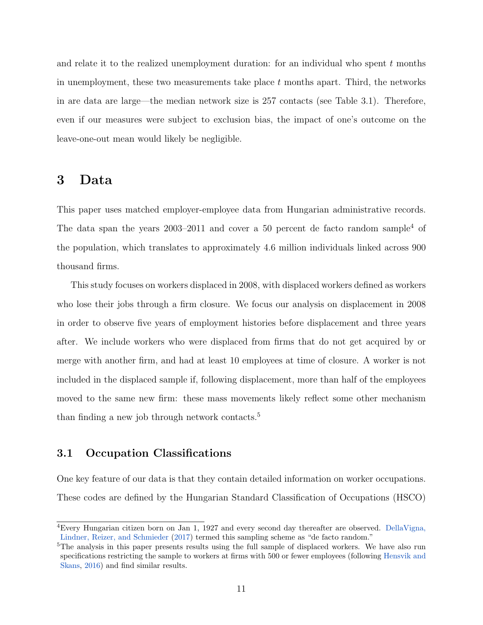and relate it to the realized unemployment duration: for an individual who spent  $t$  months in unemployment, these two measurements take place  $t$  months apart. Third, the networks in are data are large—the median network size is 257 contacts (see Table [3.1\)](#page-15-0). Therefore, even if our measures were subject to exclusion bias, the impact of one's outcome on the leave-one-out mean would likely be negligible.

#### <span id="page-12-0"></span>3 Data

This paper uses matched employer-employee data from Hungarian administrative records. The data span the years  $2003-2011$  and cover a 50 percent de facto random sample<sup>[4](#page-12-1)</sup> of the population, which translates to approximately 4.6 million individuals linked across 900 thousand firms.

This study focuses on workers displaced in 2008, with displaced workers defined as workers who lose their jobs through a firm closure. We focus our analysis on displacement in 2008 in order to observe five years of employment histories before displacement and three years after. We include workers who were displaced from firms that do not get acquired by or merge with another firm, and had at least 10 employees at time of closure. A worker is not included in the displaced sample if, following displacement, more than half of the employees moved to the same new firm: these mass movements likely reflect some other mechanism than finding a new job through network contacts.[5](#page-12-2)

#### 3.1 Occupation Classifications

One key feature of our data is that they contain detailed information on worker occupations. These codes are defined by the Hungarian Standard Classification of Occupations (HSCO)

<span id="page-12-1"></span><sup>4</sup>Every Hungarian citizen born on Jan 1, 1927 and every second day thereafter are observed. [DellaVigna,](#page-25-12) [Lindner, Reizer, and Schmieder](#page-25-12) [\(2017\)](#page-25-12) termed this sampling scheme as "de facto random."

<span id="page-12-2"></span><sup>&</sup>lt;sup>5</sup>The analysis in this paper presents results using the full sample of displaced workers. We have also run specifications restricting the sample to workers at firms with 500 or fewer employees (following [Hensvik and](#page-26-7) [Skans,](#page-26-7) [2016\)](#page-26-7) and find similar results.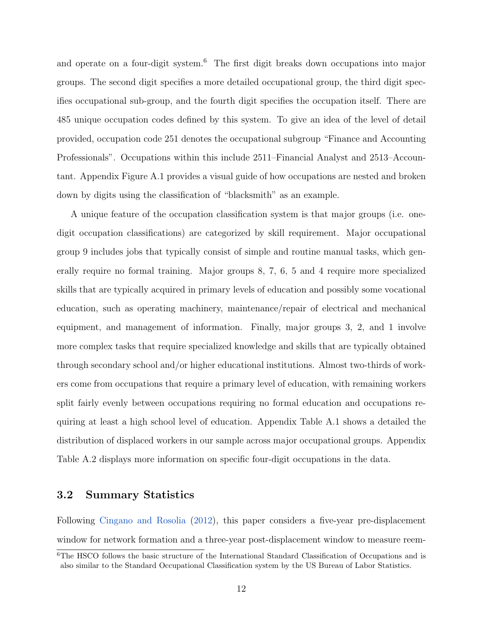and operate on a four-digit system.<sup>[6](#page-13-0)</sup> The first digit breaks down occupations into major groups. The second digit specifies a more detailed occupational group, the third digit specifies occupational sub-group, and the fourth digit specifies the occupation itself. There are 485 unique occupation codes defined by this system. To give an idea of the level of detail provided, occupation code 251 denotes the occupational subgroup "Finance and Accounting Professionals". Occupations within this include 2511–Financial Analyst and 2513–Accountant. Appendix Figure [A.1](#page-28-0) provides a visual guide of how occupations are nested and broken down by digits using the classification of "blacksmith" as an example.

A unique feature of the occupation classification system is that major groups (i.e. onedigit occupation classifications) are categorized by skill requirement. Major occupational group 9 includes jobs that typically consist of simple and routine manual tasks, which generally require no formal training. Major groups 8, 7, 6, 5 and 4 require more specialized skills that are typically acquired in primary levels of education and possibly some vocational education, such as operating machinery, maintenance/repair of electrical and mechanical equipment, and management of information. Finally, major groups 3, 2, and 1 involve more complex tasks that require specialized knowledge and skills that are typically obtained through secondary school and/or higher educational institutions. Almost two-thirds of workers come from occupations that require a primary level of education, with remaining workers split fairly evenly between occupations requiring no formal education and occupations requiring at least a high school level of education. Appendix Table [A.1](#page-28-1) shows a detailed the distribution of displaced workers in our sample across major occupational groups. Appendix Table [A.2](#page-29-0) displays more information on specific four-digit occupations in the data.

#### 3.2 Summary Statistics

Following [Cingano and Rosolia](#page-25-5) [\(2012\)](#page-25-5), this paper considers a five-year pre-displacement window for network formation and a three-year post-displacement window to measure reem-

<span id="page-13-0"></span><sup>&</sup>lt;sup>6</sup>The HSCO follows the basic structure of the International Standard Classification of Occupations and is also similar to the Standard Occupational Classification system by the US Bureau of Labor Statistics.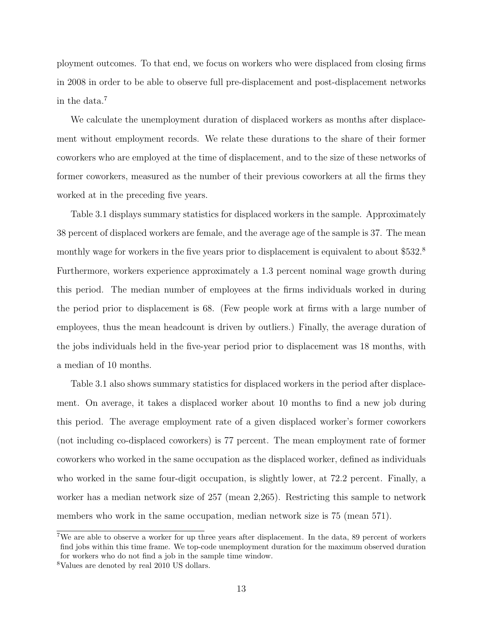ployment outcomes. To that end, we focus on workers who were displaced from closing firms in 2008 in order to be able to observe full pre-displacement and post-displacement networks in the data.[7](#page-14-0)

We calculate the unemployment duration of displaced workers as months after displacement without employment records. We relate these durations to the share of their former coworkers who are employed at the time of displacement, and to the size of these networks of former coworkers, measured as the number of their previous coworkers at all the firms they worked at in the preceding five years.

Table [3.1](#page-15-0) displays summary statistics for displaced workers in the sample. Approximately 38 percent of displaced workers are female, and the average age of the sample is 37. The mean monthly wage for workers in the five years prior to displacement is equivalent to about \$532.<sup>[8](#page-14-1)</sup> Furthermore, workers experience approximately a 1.3 percent nominal wage growth during this period. The median number of employees at the firms individuals worked in during the period prior to displacement is 68. (Few people work at firms with a large number of employees, thus the mean headcount is driven by outliers.) Finally, the average duration of the jobs individuals held in the five-year period prior to displacement was 18 months, with a median of 10 months.

Table [3.1](#page-15-0) also shows summary statistics for displaced workers in the period after displacement. On average, it takes a displaced worker about 10 months to find a new job during this period. The average employment rate of a given displaced worker's former coworkers (not including co-displaced coworkers) is 77 percent. The mean employment rate of former coworkers who worked in the same occupation as the displaced worker, defined as individuals who worked in the same four-digit occupation, is slightly lower, at 72.2 percent. Finally, a worker has a median network size of 257 (mean 2,265). Restricting this sample to network members who work in the same occupation, median network size is 75 (mean 571).

<span id="page-14-0"></span><sup>7</sup>We are able to observe a worker for up three years after displacement. In the data, 89 percent of workers find jobs within this time frame. We top-code unemployment duration for the maximum observed duration for workers who do not find a job in the sample time window.

<span id="page-14-1"></span><sup>8</sup>Values are denoted by real 2010 US dollars.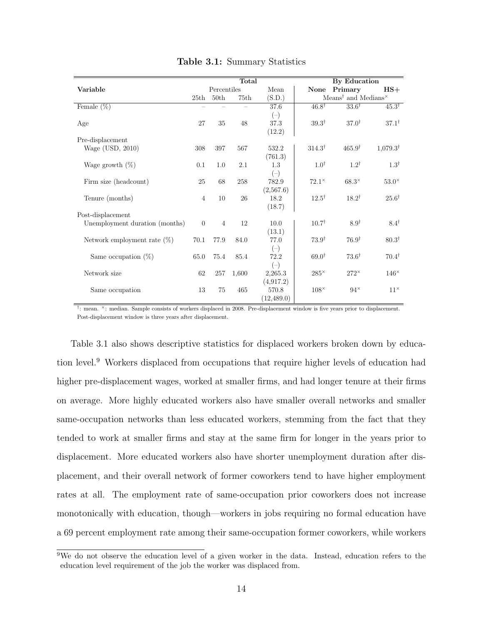<span id="page-15-0"></span>

|                                | Total          |                  |       |             | By Education      |                                                                                  |                     |
|--------------------------------|----------------|------------------|-------|-------------|-------------------|----------------------------------------------------------------------------------|---------------------|
| Variable                       |                | Percentiles      |       | Mean        | None              | Primary                                                                          | $HS+$               |
|                                | 25th           | 50 <sub>th</sub> | 75th  | (S.D.)      |                   | Means <sup><math>\dagger</math></sup> and Medians <sup><math>\times</math></sup> |                     |
| Female $(\%)$                  |                |                  |       | 37.6        | $46.8^{\dagger}$  | $33.6^{\dagger}$                                                                 | $45.3^{\dagger}$    |
|                                |                |                  |       | $(-)$       |                   |                                                                                  |                     |
| Age                            | 27             | 35               | 48    | 37.3        | $39.3^{\dagger}$  | $37.0^{\dagger}$                                                                 | $37.1^{\dagger}$    |
|                                |                |                  |       | (12.2)      |                   |                                                                                  |                     |
| Pre-displacement               |                |                  |       |             |                   |                                                                                  |                     |
| Wage (USD, 2010)               | 308            | 397              | 567   | 532.2       | $314.3^{\dagger}$ | $465.9^{\dagger}$                                                                | $1,079.3^{\dagger}$ |
|                                |                |                  |       | (761.3)     |                   |                                                                                  |                     |
| Wage growth $(\%)$             | 0.1            | 1.0              | 2.1   | 1.3         | $1.0^{\dagger}$   | $1.2^{\dagger}$                                                                  | $1.3^{\dagger}$     |
|                                |                |                  |       | $(-)$       |                   |                                                                                  |                     |
| Firm size (headcount)          | 25             | 68               | 258   | 782.9       | $72.1^{\times}$   | $68.3^{\times}$                                                                  | $53.0^{\times}$     |
|                                |                |                  |       | (2,567.6)   |                   |                                                                                  |                     |
| Tenure (months)                | $\overline{4}$ | 10               | 26    | 18.2        | $12.5^{\dagger}$  | $18.2^{\dagger}$                                                                 | $25.6^{\dagger}$    |
|                                |                |                  |       | (18.7)      |                   |                                                                                  |                     |
| Post-displacement              |                |                  |       |             |                   |                                                                                  |                     |
| Unemployment duration (months) | $\theta$       | $\overline{4}$   | 12    | 10.0        | $10.7^{\dagger}$  | $8.9^{\dagger}$                                                                  | $8.4^{\dagger}$     |
|                                |                |                  |       | (13.1)      |                   |                                                                                  |                     |
| Network employment rate $(\%)$ | 70.1           | 77.9             | 84.0  | 77.0        | $73.9^{\dagger}$  | $76.9^{\dagger}$                                                                 | $80.3^{\dagger}$    |
|                                |                |                  |       | $(-)$       |                   |                                                                                  |                     |
| Same occupation $(\%)$         | 65.0           | 75.4             | 85.4  | 72.2        | $69.0^{\dagger}$  | $73.6^{\dagger}$                                                                 | $70.4^{\dagger}$    |
|                                |                |                  |       | $(-)$       |                   |                                                                                  |                     |
| Network size                   | 62             | 257              | 1,600 | 2,265.3     | $285^{\times}$    | $272^{\times}$                                                                   | $146^{\times}$      |
|                                |                |                  |       | (4, 917.2)  |                   |                                                                                  |                     |
| Same occupation                | 13             | 75               | 465   | 570.8       | $108^{\times}$    | $94^{\times}$                                                                    | $11^{\times}$       |
|                                |                |                  |       | (12, 489.0) |                   |                                                                                  |                     |

Table 3.1: Summary Statistics

† : mean. <sup>×</sup>: median. Sample consists of workers displaced in 2008. Pre-displacement window is five years prior to displacement. Post-displacement window is three years after displacement.

Table [3.1](#page-15-0) also shows descriptive statistics for displaced workers broken down by education level.[9](#page-15-1) Workers displaced from occupations that require higher levels of education had higher pre-displacement wages, worked at smaller firms, and had longer tenure at their firms on average. More highly educated workers also have smaller overall networks and smaller same-occupation networks than less educated workers, stemming from the fact that they tended to work at smaller firms and stay at the same firm for longer in the years prior to displacement. More educated workers also have shorter unemployment duration after displacement, and their overall network of former coworkers tend to have higher employment rates at all. The employment rate of same-occupation prior coworkers does not increase monotonically with education, though—workers in jobs requiring no formal education have a 69 percent employment rate among their same-occupation former coworkers, while workers

<span id="page-15-1"></span><sup>9</sup>We do not observe the education level of a given worker in the data. Instead, education refers to the education level requirement of the job the worker was displaced from.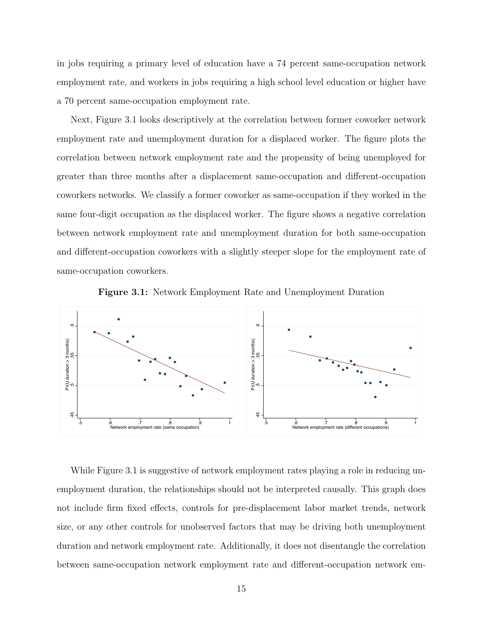in jobs requiring a primary level of education have a 74 percent same-occupation network employment rate, and workers in jobs requiring a high school level education or higher have a 70 percent same-occupation employment rate.

Next, Figure [3.1](#page-16-0) looks descriptively at the correlation between former coworker network employment rate and unemployment duration for a displaced worker. The figure plots the correlation between network employment rate and the propensity of being unemployed for greater than three months after a displacement same-occupation and different-occupation coworkers networks. We classify a former coworker as same-occupation if they worked in the same four-digit occupation as the displaced worker. The figure shows a negative correlation between network employment rate and unemployment duration for both same-occupation and different-occupation coworkers with a slightly steeper slope for the employment rate of same-occupation coworkers.

<span id="page-16-0"></span>

Figure 3.1: Network Employment Rate and Unemployment Duration

While Figure [3.1](#page-16-0) is suggestive of network employment rates playing a role in reducing unemployment duration, the relationships should not be interpreted causally. This graph does not include firm fixed effects, controls for pre-displacement labor market trends, network size, or any other controls for unobserved factors that may be driving both unemployment duration and network employment rate. Additionally, it does not disentangle the correlation between same-occupation network employment rate and different-occupation network em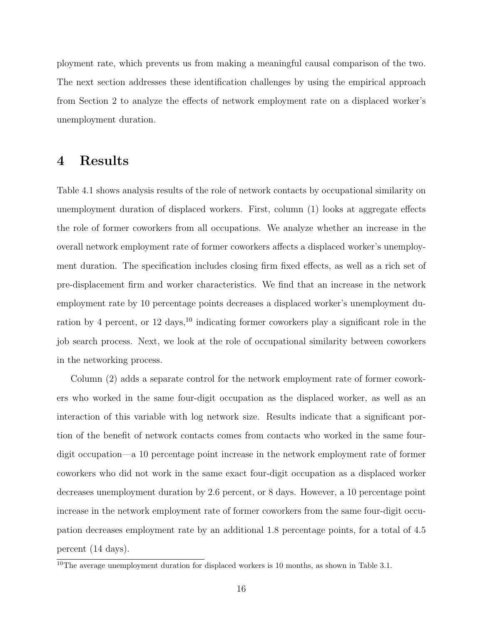ployment rate, which prevents us from making a meaningful causal comparison of the two. The next section addresses these identification challenges by using the empirical approach from Section [2](#page-9-0) to analyze the effects of network employment rate on a displaced worker's unemployment duration.

#### <span id="page-17-0"></span>4 Results

Table [4.1](#page-18-0) shows analysis results of the role of network contacts by occupational similarity on unemployment duration of displaced workers. First, column (1) looks at aggregate effects the role of former coworkers from all occupations. We analyze whether an increase in the overall network employment rate of former coworkers affects a displaced worker's unemployment duration. The specification includes closing firm fixed effects, as well as a rich set of pre-displacement firm and worker characteristics. We find that an increase in the network employment rate by 10 percentage points decreases a displaced worker's unemployment duration by 4 percent, or 12 days,  $^{10}$  $^{10}$  $^{10}$  indicating former coworkers play a significant role in the job search process. Next, we look at the role of occupational similarity between coworkers in the networking process.

Column (2) adds a separate control for the network employment rate of former coworkers who worked in the same four-digit occupation as the displaced worker, as well as an interaction of this variable with log network size. Results indicate that a significant portion of the benefit of network contacts comes from contacts who worked in the same fourdigit occupation—a 10 percentage point increase in the network employment rate of former coworkers who did not work in the same exact four-digit occupation as a displaced worker decreases unemployment duration by 2.6 percent, or 8 days. However, a 10 percentage point increase in the network employment rate of former coworkers from the same four-digit occupation decreases employment rate by an additional 1.8 percentage points, for a total of 4.5 percent (14 days).

<span id="page-17-1"></span> $\overline{^{10}}$ The average unemployment duration for displaced workers is 10 months, as shown in Table [3.1.](#page-15-0)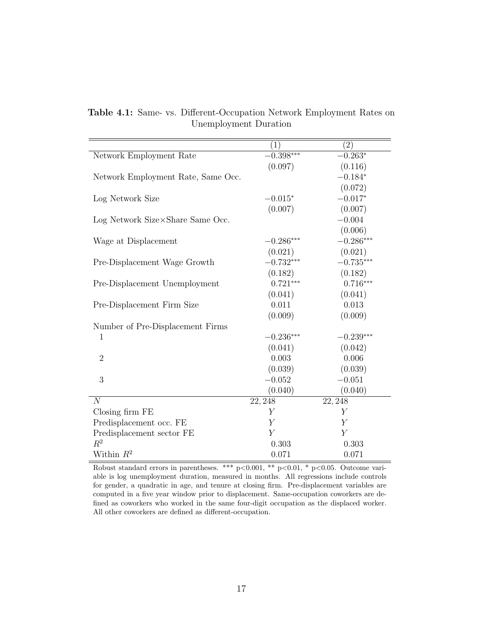<span id="page-18-0"></span>

|                                    | (1)              | (2)              |
|------------------------------------|------------------|------------------|
| Network Employment Rate            | $-0.398***$      | $-0.263*$        |
|                                    | (0.097)          | (0.116)          |
| Network Employment Rate, Same Occ. |                  | $-0.184*$        |
|                                    |                  | (0.072)          |
| Log Network Size                   | $-0.015*$        | $-0.017*$        |
|                                    | (0.007)          | (0.007)          |
| Log Network Size×Share Same Occ.   |                  | $-0.004$         |
|                                    |                  | (0.006)          |
| Wage at Displacement               | $-0.286***$      | $-0.286***$      |
|                                    | (0.021)          | (0.021)          |
| Pre-Displacement Wage Growth       | $-0.732***$      | $-0.735***$      |
|                                    | (0.182)          | (0.182)          |
| Pre-Displacement Unemployment      | $0.721***$       | $0.716***$       |
|                                    | (0.041)          | (0.041)          |
| Pre-Displacement Firm Size         | 0.011            | 0.013            |
|                                    | (0.009)          | (0.009)          |
| Number of Pre-Displacement Firms   |                  |                  |
| $\mathbf{1}$                       | $-0.236***$      | $-0.239***$      |
|                                    | (0.041)          | (0.042)          |
| $\overline{2}$                     | 0.003            | 0.006            |
|                                    | (0.039)          | (0.039)          |
| 3                                  | $-0.052$         | $-0.051$         |
|                                    | (0.040)          | (0.040)          |
| $\overline{N}$                     | 22, 248          | 22, 248          |
| Closing firm FE                    | $\boldsymbol{Y}$ | Υ                |
| Predisplacement occ. FE            | $\boldsymbol{Y}$ | $\boldsymbol{Y}$ |
| Predisplacement sector FE          | $\overline{Y}$   | $\boldsymbol{Y}$ |
| $R^2$                              | 0.303            | 0.303            |
| Within $R^2$                       | 0.071            | 0.071            |

Table 4.1: Same- vs. Different-Occupation Network Employment Rates on Unemployment Duration

Robust standard errors in parentheses. \*\*\*  $p<0.001$ , \*\*  $p<0.01$ , \*  $p<0.05$ . Outcome variable is log unemployment duration, measured in months. All regressions include controls for gender, a quadratic in age, and tenure at closing firm. Pre-displacement variables are computed in a five year window prior to displacement. Same-occupation coworkers are defined as coworkers who worked in the same four-digit occupation as the displaced worker. All other coworkers are defined as different-occupation.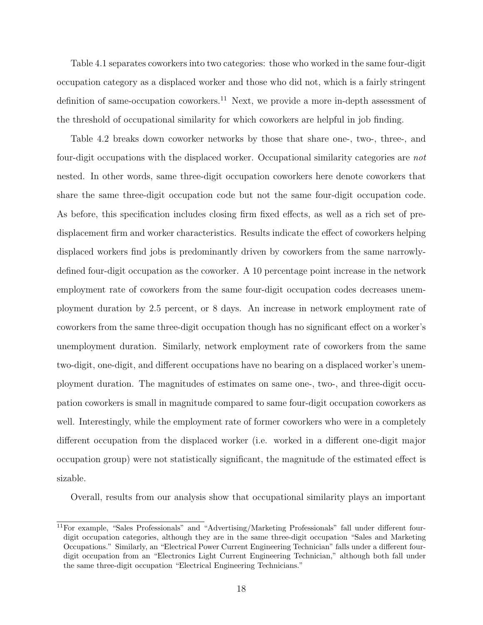Table [4.1](#page-18-0) separates coworkers into two categories: those who worked in the same four-digit occupation category as a displaced worker and those who did not, which is a fairly stringent definition of same-occupation coworkers.<sup>[11](#page-19-0)</sup> Next, we provide a more in-depth assessment of the threshold of occupational similarity for which coworkers are helpful in job finding.

Table [4.2](#page-20-0) breaks down coworker networks by those that share one-, two-, three-, and four-digit occupations with the displaced worker. Occupational similarity categories are not nested. In other words, same three-digit occupation coworkers here denote coworkers that share the same three-digit occupation code but not the same four-digit occupation code. As before, this specification includes closing firm fixed effects, as well as a rich set of predisplacement firm and worker characteristics. Results indicate the effect of coworkers helping displaced workers find jobs is predominantly driven by coworkers from the same narrowlydefined four-digit occupation as the coworker. A 10 percentage point increase in the network employment rate of coworkers from the same four-digit occupation codes decreases unemployment duration by 2.5 percent, or 8 days. An increase in network employment rate of coworkers from the same three-digit occupation though has no significant effect on a worker's unemployment duration. Similarly, network employment rate of coworkers from the same two-digit, one-digit, and different occupations have no bearing on a displaced worker's unemployment duration. The magnitudes of estimates on same one-, two-, and three-digit occupation coworkers is small in magnitude compared to same four-digit occupation coworkers as well. Interestingly, while the employment rate of former coworkers who were in a completely different occupation from the displaced worker (i.e. worked in a different one-digit major occupation group) were not statistically significant, the magnitude of the estimated effect is sizable.

Overall, results from our analysis show that occupational similarity plays an important

<span id="page-19-0"></span><sup>11</sup>For example, "Sales Professionals" and "Advertising/Marketing Professionals" fall under different fourdigit occupation categories, although they are in the same three-digit occupation "Sales and Marketing Occupations." Similarly, an "Electrical Power Current Engineering Technician" falls under a different fourdigit occupation from an "Electronics Light Current Engineering Technician," although both fall under the same three-digit occupation "Electrical Engineering Technicians."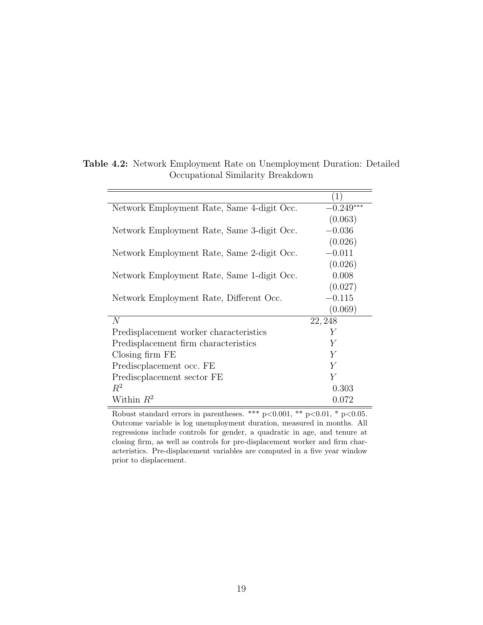|                                            | $\left( 1\right)$ |
|--------------------------------------------|-------------------|
| Network Employment Rate, Same 4-digit Occ. | $-0.249***$       |
|                                            | (0.063)           |
| Network Employment Rate, Same 3-digit Occ. | $-0.036$          |
|                                            | (0.026)           |
| Network Employment Rate, Same 2-digit Occ. | $-0.011$          |
|                                            | (0.026)           |
| Network Employment Rate, Same 1-digit Occ. | 0.008             |
|                                            | (0.027)           |
| Network Employment Rate, Different Occ.    | $-0.115$          |
|                                            | (0.069)           |
| N                                          | 22, 248           |
| Predisplacement worker characteristics     | Y                 |
| Predisplacement firm characteristics       | Y                 |
| Closing firm FE                            | Y                 |
| Prediscolacement occ. FE                   | $\overline{Y}$    |
| Prediscolaement sector FE                  | $\overline{Y}$    |
| $R^2$                                      | 0.303             |
| Within $R^2$                               | 0.072             |

#### <span id="page-20-0"></span>Table 4.2: Network Employment Rate on Unemployment Duration: Detailed Occupational Similarity Breakdown

Robust standard errors in parentheses. \*\*\*  $p<0.001$ , \*\*  $p<0.01$ , \*  $p<0.05$ . Outcome variable is log unemployment duration, measured in months. All regressions include controls for gender, a quadratic in age, and tenure at closing firm, as well as controls for pre-displacement worker and firm characteristics. Pre-displacement variables are computed in a five year window prior to displacement.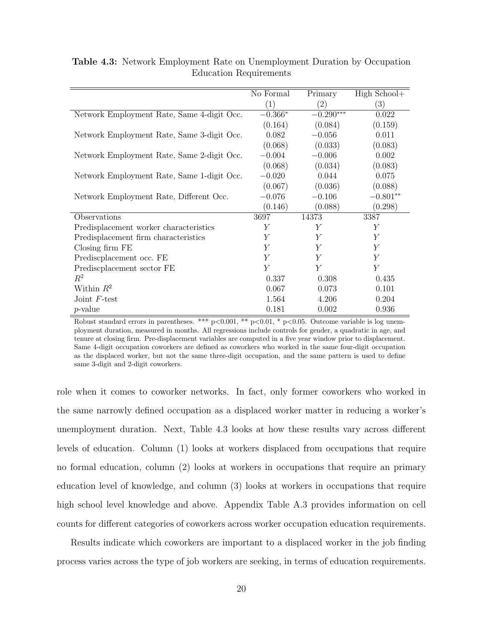<span id="page-21-0"></span>

|                                            | No Formal | Primary           | High School+   |
|--------------------------------------------|-----------|-------------------|----------------|
|                                            | (1)       | $\left( 2\right)$ | (3)            |
| Network Employment Rate, Same 4-digit Occ. | $-0.366*$ | $-0.290***$       | 0.022          |
|                                            | (0.164)   | (0.084)           | (0.159)        |
| Network Employment Rate, Same 3-digit Occ. | 0.082     | $-0.056$          | 0.011          |
|                                            | (0.068)   | (0.033)           | (0.083)        |
| Network Employment Rate, Same 2-digit Occ. | $-0.004$  | $-0.006$          | 0.002          |
|                                            | (0.068)   | (0.034)           | (0.083)        |
| Network Employment Rate, Same 1-digit Occ. | $-0.020$  | 0.044             | 0.075          |
|                                            | (0.067)   | (0.036)           | (0.088)        |
| Network Employment Rate, Different Occ.    | $-0.076$  | $-0.106$          | $-0.801**$     |
|                                            | (0.146)   | (0.088)           | (0.298)        |
| Observations                               | 3697      | 14373             | 3387           |
| Predisplacement worker characteristics     | Y         | Y                 | Υ              |
| Predisplacement firm characteristics       | Y         | Y                 | Υ              |
| Closing firm FE                            | Y         | Y                 | $\overline{Y}$ |
| Prediscplacement occ. FE                   | Υ         | Y                 | $\overline{Y}$ |
| Prediscolacement sector FE                 | Y         | Y                 | $\overline{Y}$ |
| $R^2$                                      | 0.337     | 0.308             | 0.435          |
| Within $R^2$                               | 0.067     | 0.073             | 0.101          |
| Joint $F$ -test                            | 1.564     | 4.206             | 0.204          |
| $p$ -value                                 | 0.181     | 0.002             | 0.936          |

Table 4.3: Network Employment Rate on Unemployment Duration by Occupation Education Requirements

Robust standard errors in parentheses. \*\*\*  $p<0.001$ , \*\*  $p<0.01$ , \*  $p<0.05$ . Outcome variable is log unemployment duration, measured in months. All regressions include controls for gender, a quadratic in age, and tenure at closing firm. Pre-displacement variables are computed in a five year window prior to displacement. Same 4-digit occupation coworkers are defined as coworkers who worked in the same four-digit occupation as the displaced worker, but not the same three-digit occupation, and the same pattern is used to define same 3-digit and 2-digit coworkers.

role when it comes to coworker networks. In fact, only former coworkers who worked in the same narrowly defined occupation as a displaced worker matter in reducing a worker's unemployment duration. Next, Table [4.3](#page-21-0) looks at how these results vary across different levels of education. Column (1) looks at workers displaced from occupations that require no formal education, column (2) looks at workers in occupations that require an primary education level of knowledge, and column (3) looks at workers in occupations that require high school level knowledge and above. Appendix Table [A.3](#page-29-1) provides information on cell counts for different categories of coworkers across worker occupation education requirements.

Results indicate which coworkers are important to a displaced worker in the job finding process varies across the type of job workers are seeking, in terms of education requirements.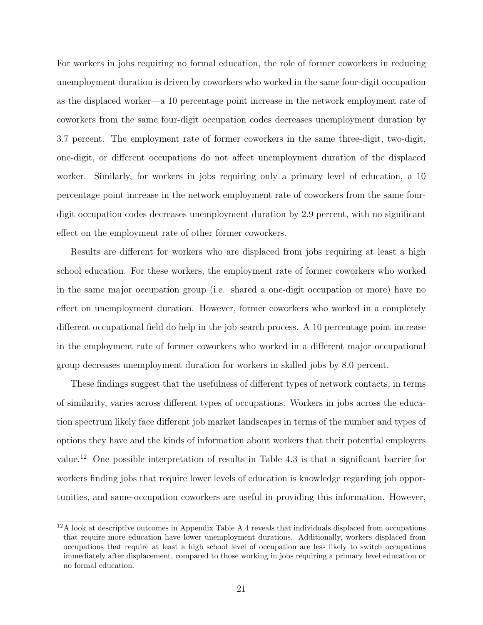For workers in jobs requiring no formal education, the role of former coworkers in reducing unemployment duration is driven by coworkers who worked in the same four-digit occupation as the displaced worker—a 10 percentage point increase in the network employment rate of coworkers from the same four-digit occupation codes decreases unemployment duration by 3.7 percent. The employment rate of former coworkers in the same three-digit, two-digit, one-digit, or different occupations do not affect unemployment duration of the displaced worker. Similarly, for workers in jobs requiring only a primary level of education, a 10 percentage point increase in the network employment rate of coworkers from the same fourdigit occupation codes decreases unemployment duration by 2.9 percent, with no significant effect on the employment rate of other former coworkers.

Results are different for workers who are displaced from jobs requiring at least a high school education. For these workers, the employment rate of former coworkers who worked in the same major occupation group (i.e. shared a one-digit occupation or more) have no effect on unemployment duration. However, former coworkers who worked in a completely different occupational field do help in the job search process. A 10 percentage point increase in the employment rate of former coworkers who worked in a different major occupational group decreases unemployment duration for workers in skilled jobs by 8.0 percent.

These findings suggest that the usefulness of different types of network contacts, in terms of similarity, varies across different types of occupations. Workers in jobs across the education spectrum likely face different job market landscapes in terms of the number and types of options they have and the kinds of information about workers that their potential employers value.[12](#page-22-0) One possible interpretation of results in Table [4.3](#page-21-0) is that a significant barrier for workers finding jobs that require lower levels of education is knowledge regarding job opportunities, and same-occupation coworkers are useful in providing this information. However,

<span id="page-22-0"></span><sup>12</sup>A look at descriptive outcomes in Appendix Table [A.4](#page-30-0) reveals that individuals displaced from occupations that require more education have lower unemployment durations. Additionally, workers displaced from occupations that require at least a high school level of occupation are less likely to switch occupations immediately after displacement, compared to those working in jobs requiring a primary level education or no formal education.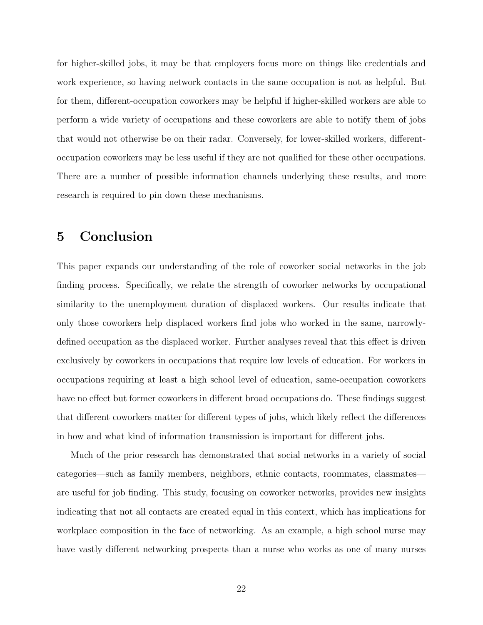for higher-skilled jobs, it may be that employers focus more on things like credentials and work experience, so having network contacts in the same occupation is not as helpful. But for them, different-occupation coworkers may be helpful if higher-skilled workers are able to perform a wide variety of occupations and these coworkers are able to notify them of jobs that would not otherwise be on their radar. Conversely, for lower-skilled workers, differentoccupation coworkers may be less useful if they are not qualified for these other occupations. There are a number of possible information channels underlying these results, and more research is required to pin down these mechanisms.

### <span id="page-23-0"></span>5 Conclusion

This paper expands our understanding of the role of coworker social networks in the job finding process. Specifically, we relate the strength of coworker networks by occupational similarity to the unemployment duration of displaced workers. Our results indicate that only those coworkers help displaced workers find jobs who worked in the same, narrowlydefined occupation as the displaced worker. Further analyses reveal that this effect is driven exclusively by coworkers in occupations that require low levels of education. For workers in occupations requiring at least a high school level of education, same-occupation coworkers have no effect but former coworkers in different broad occupations do. These findings suggest that different coworkers matter for different types of jobs, which likely reflect the differences in how and what kind of information transmission is important for different jobs.

Much of the prior research has demonstrated that social networks in a variety of social categories—such as family members, neighbors, ethnic contacts, roommates, classmates are useful for job finding. This study, focusing on coworker networks, provides new insights indicating that not all contacts are created equal in this context, which has implications for workplace composition in the face of networking. As an example, a high school nurse may have vastly different networking prospects than a nurse who works as one of many nurses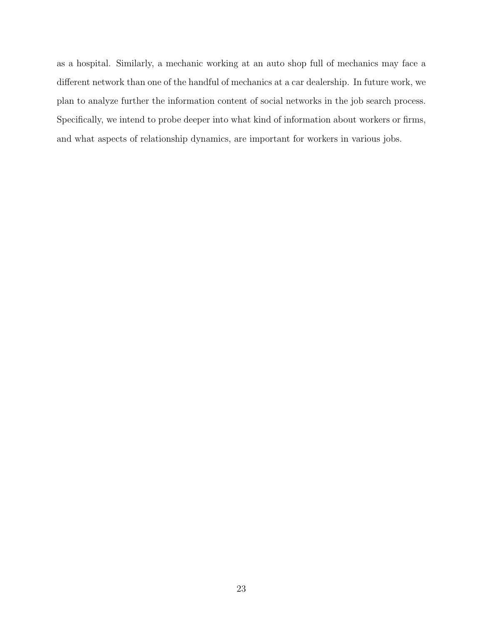as a hospital. Similarly, a mechanic working at an auto shop full of mechanics may face a different network than one of the handful of mechanics at a car dealership. In future work, we plan to analyze further the information content of social networks in the job search process. Specifically, we intend to probe deeper into what kind of information about workers or firms, and what aspects of relationship dynamics, are important for workers in various jobs.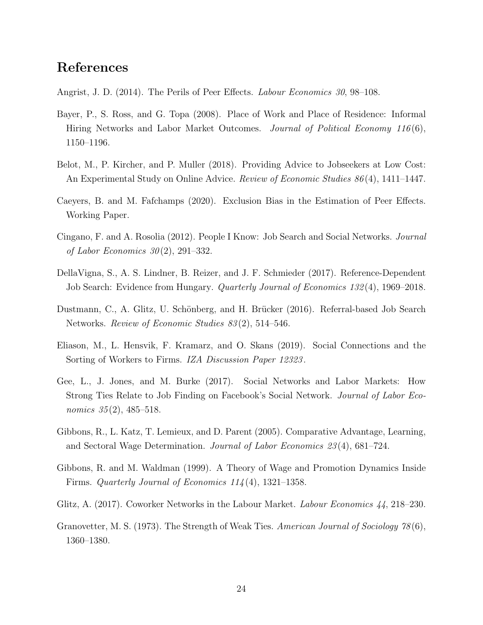### References

<span id="page-25-10"></span>Angrist, J. D. (2014). The Perils of Peer Effects. Labour Economics 30, 98–108.

- <span id="page-25-0"></span>Bayer, P., S. Ross, and G. Topa (2008). Place of Work and Place of Residence: Informal Hiring Networks and Labor Market Outcomes. *Journal of Political Economy 116(6)*, 1150–1196.
- <span id="page-25-9"></span>Belot, M., P. Kircher, and P. Muller (2018). Providing Advice to Jobseekers at Low Cost: An Experimental Study on Online Advice. Review of Economic Studies 86 (4), 1411–1447.
- <span id="page-25-11"></span>Caeyers, B. and M. Fafchamps (2020). Exclusion Bias in the Estimation of Peer Effects. Working Paper.
- <span id="page-25-5"></span>Cingano, F. and A. Rosolia (2012). People I Know: Job Search and Social Networks. Journal of Labor Economics  $30(2)$ , 291–332.
- <span id="page-25-12"></span>DellaVigna, S., A. S. Lindner, B. Reizer, and J. F. Schmieder (2017). Reference-Dependent Job Search: Evidence from Hungary. Quarterly Journal of Economics 132 (4), 1969–2018.
- <span id="page-25-1"></span>Dustmann, C., A. Glitz, U. Schönberg, and H. Brücker (2016). Referral-based Job Search Networks. Review of Economic Studies 83 (2), 514–546.
- <span id="page-25-4"></span>Eliason, M., L. Hensvik, F. Kramarz, and O. Skans (2019). Social Connections and the Sorting of Workers to Firms. IZA Discussion Paper 12323.
- <span id="page-25-3"></span>Gee, L., J. Jones, and M. Burke (2017). Social Networks and Labor Markets: How Strong Ties Relate to Job Finding on Facebook's Social Network. Journal of Labor Economics  $35(2)$ , 485–518.
- <span id="page-25-8"></span>Gibbons, R., L. Katz, T. Lemieux, and D. Parent (2005). Comparative Advantage, Learning, and Sectoral Wage Determination. Journal of Labor Economics 23 (4), 681–724.
- <span id="page-25-7"></span>Gibbons, R. and M. Waldman (1999). A Theory of Wage and Promotion Dynamics Inside Firms. Quarterly Journal of Economics 114 (4), 1321–1358.
- <span id="page-25-6"></span>Glitz, A. (2017). Coworker Networks in the Labour Market. Labour Economics 44, 218–230.
- <span id="page-25-2"></span>Granovetter, M. S. (1973). The Strength of Weak Ties. American Journal of Sociology 78(6), 1360–1380.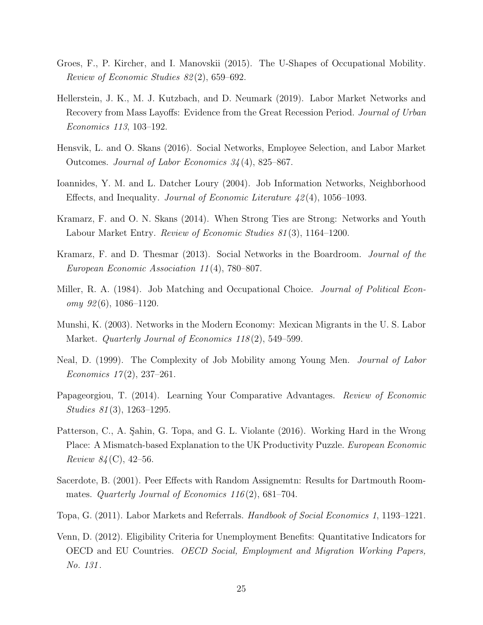- <span id="page-26-12"></span>Groes, F., P. Kircher, and I. Manovskii (2015). The U-Shapes of Occupational Mobility. Review of Economic Studies 82 (2), 659–692.
- <span id="page-26-3"></span>Hellerstein, J. K., M. J. Kutzbach, and D. Neumark (2019). Labor Market Networks and Recovery from Mass Layoffs: Evidence from the Great Recession Period. Journal of Urban Economics 113, 103–192.
- <span id="page-26-7"></span>Hensvik, L. and O. Skans (2016). Social Networks, Employee Selection, and Labor Market Outcomes. Journal of Labor Economics 34 (4), 825–867.
- <span id="page-26-0"></span>Ioannides, Y. M. and L. Datcher Loury (2004). Job Information Networks, Neighborhood Effects, and Inequality. Journal of Economic Literature  $42(4)$ , 1056–1093.
- <span id="page-26-2"></span>Kramarz, F. and O. N. Skans (2014). When Strong Ties are Strong: Networks and Youth Labour Market Entry. Review of Economic Studies 81 (3), 1164–1200.
- <span id="page-26-6"></span>Kramarz, F. and D. Thesmar (2013). Social Networks in the Boardroom. Journal of the European Economic Association 11 (4), 780–807.
- <span id="page-26-9"></span>Miller, R. A. (1984). Job Matching and Occupational Choice. *Journal of Political Econ* $omy \; 92(6), \; 1086-1120.$
- <span id="page-26-4"></span>Munshi, K. (2003). Networks in the Modern Economy: Mexican Migrants in the U. S. Labor Market. *Quarterly Journal of Economics 118*(2), 549–599.
- <span id="page-26-10"></span>Neal, D. (1999). The Complexity of Job Mobility among Young Men. Journal of Labor Economics  $17(2)$ , 237–261.
- <span id="page-26-11"></span>Papageorgiou, T. (2014). Learning Your Comparative Advantages. Review of Economic Studies 81 (3), 1263–1295.
- <span id="page-26-8"></span>Patterson, C., A. Sahin, G. Topa, and G. L. Violante (2016). Working Hard in the Wrong Place: A Mismatch-based Explanation to the UK Productivity Puzzle. European Economic *Review 84* (C), 42–56.
- <span id="page-26-5"></span>Sacerdote, B. (2001). Peer Effects with Random Assignemtn: Results for Dartmouth Roommates. Quarterly Journal of Economics  $116(2)$ , 681–704.
- <span id="page-26-1"></span>Topa, G. (2011). Labor Markets and Referrals. Handbook of Social Economics 1, 1193–1221.
- <span id="page-26-13"></span>Venn, D. (2012). Eligibility Criteria for Unemployment Benefits: Quantitative Indicators for OECD and EU Countries. OECD Social, Employment and Migration Working Papers, No. 131 .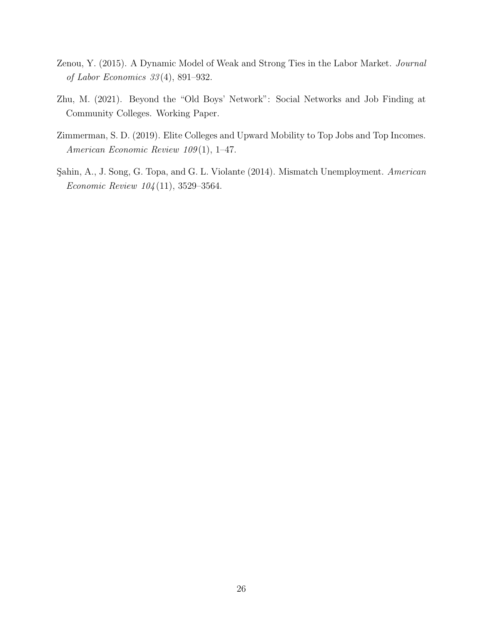- <span id="page-27-2"></span>Zenou, Y. (2015). A Dynamic Model of Weak and Strong Ties in the Labor Market. Journal of Labor Economics 33 (4), 891–932.
- <span id="page-27-1"></span>Zhu, M. (2021). Beyond the "Old Boys' Network": Social Networks and Job Finding at Community Colleges. Working Paper.
- <span id="page-27-0"></span>Zimmerman, S. D. (2019). Elite Colleges and Upward Mobility to Top Jobs and Top Incomes. American Economic Review 109(1), 1-47.
- <span id="page-27-3"></span>Şahin, A., J. Song, G. Topa, and G. L. Violante (2014). Mismatch Unemployment. American Economic Review 104 (11), 3529–3564.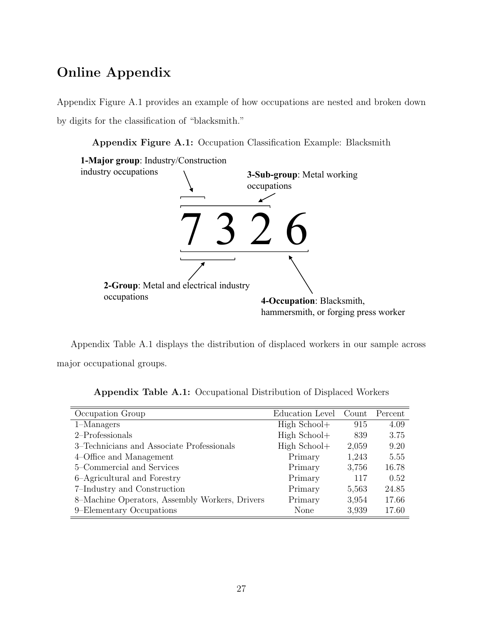## Online Appendix

Appendix Figure [A.1](#page-28-0) provides an example of how occupations are nested and broken down by digits for the classification of "blacksmith."

Appendix Figure A.1: Occupation Classification Example: Blacksmith

<span id="page-28-0"></span>

Appendix Table [A.1](#page-28-1) displays the distribution of displaced workers in our sample across major occupational groups.

<span id="page-28-1"></span>

| Occupation Group                               | Education Level | Count | Percent |
|------------------------------------------------|-----------------|-------|---------|
| $1-Managers$                                   | High School+    | 915   | 4.09    |
| 2-Professionals                                | $High School+$  | 839   | 3.75    |
| 3–Technicians and Associate Professionals      | High School+    | 2,059 | 9.20    |
| 4–Office and Management                        | Primary         | 1,243 | 5.55    |
| 5–Commercial and Services                      | Primary         | 3,756 | 16.78   |
| 6-Agricultural and Forestry                    | Primary         | 117   | 0.52    |
| 7-Industry and Construction                    | Primary         | 5,563 | 24.85   |
| 8–Machine Operators, Assembly Workers, Drivers | Primary         | 3,954 | 17.66   |
| 9–Elementary Occupations                       | None            | 3,939 | 17.60   |

Appendix Table A.1: Occupational Distribution of Displaced Workers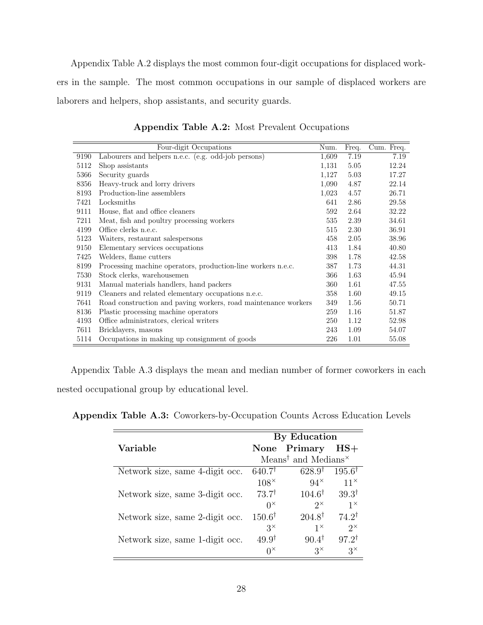Appendix Table [A.2](#page-29-0) displays the most common four-digit occupations for displaced workers in the sample. The most common occupations in our sample of displaced workers are laborers and helpers, shop assistants, and security guards.

<span id="page-29-0"></span>

|      | Four-digit Occupations                                         | Num.  | Freq. | Cum. Freq. |
|------|----------------------------------------------------------------|-------|-------|------------|
| 9190 | Labourers and helpers n.e.c. (e.g. odd-job persons)            | 1,609 | 7.19  | 7.19       |
| 5112 | Shop assistants                                                | 1,131 | 5.05  | 12.24      |
| 5366 | Security guards                                                | 1,127 | 5.03  | 17.27      |
| 8356 | Heavy-truck and lorry drivers                                  | 1,090 | 4.87  | 22.14      |
| 8193 | Production-line assemblers                                     | 1,023 | 4.57  | 26.71      |
| 7421 | Locksmiths                                                     | 641   | 2.86  | 29.58      |
| 9111 | House, flat and office cleaners                                | 592   | 2.64  | 32.22      |
| 7211 | Meat, fish and poultry processing workers                      | 535   | 2.39  | 34.61      |
| 4199 | Office clerks n.e.c.                                           | 515   | 2.30  | 36.91      |
| 5123 | Waiters, restaurant salespersons                               | 458   | 2.05  | 38.96      |
| 9150 | Elementary services occupations                                | 413   | 1.84  | 40.80      |
| 7425 | Welders, flame cutters                                         | 398   | 1.78  | 42.58      |
| 8199 | Processing machine operators, production-line workers n.e.c.   | 387   | 1.73  | 44.31      |
| 7530 | Stock clerks, warehousemen                                     | 366   | 1.63  | 45.94      |
| 9131 | Manual materials handlers, hand packers                        | 360   | 1.61  | 47.55      |
| 9119 | Cleaners and related elementary occupations n.e.c.             | 358   | 1.60  | 49.15      |
| 7641 | Road construction and paving workers, road maintenance workers | 349   | 1.56  | 50.71      |
| 8136 | Plastic processing machine operators                           | 259   | 1.16  | 51.87      |
| 4193 | Office administrators, clerical writers                        | 250   | 1.12  | 52.98      |
| 7611 | Bricklayers, masons                                            | 243   | 1.09  | 54.07      |
| 5114 | Occupations in making up consignment of goods                  | 226   | 1.01  | 55.08      |

Appendix Table A.2: Most Prevalent Occupations

Appendix Table [A.3](#page-29-1) displays the mean and median number of former coworkers in each nested occupational group by educational level.

<span id="page-29-1"></span>Appendix Table A.3: Coworkers-by-Occupation Counts Across Education Levels

|                                 | By Education      |                                                                                  |                   |
|---------------------------------|-------------------|----------------------------------------------------------------------------------|-------------------|
| Variable                        |                   | None Primary                                                                     | $HS+$             |
|                                 |                   | Means <sup><math>\dagger</math></sup> and Medians <sup><math>\times</math></sup> |                   |
| Network size, same 4-digit occ. | $640.7^{\dagger}$ | $628.9^{\dagger}$                                                                | $195.6^{\dagger}$ |
|                                 | $108^{\times}$    | $94^{\times}$                                                                    | $11^{\times}$     |
| Network size, same 3-digit occ. | $73.7^{\dagger}$  | $104.6^{\dagger}$                                                                | $39.3^{\dagger}$  |
|                                 | $0^{\times}$      | $2^{\times}$                                                                     | $1^{\times}$      |
| Network size, same 2-digit occ. | $150.6^{\dagger}$ | $204.8^{\dagger}$                                                                | $74.2^{\dagger}$  |
|                                 | $3^{\times}$      | $1^{\times}$                                                                     | $2^{\times}$      |
| Network size, same 1-digit occ. | $49.9^{\dagger}$  | $90.4^{\dagger}$                                                                 | $97.2^{\dagger}$  |
|                                 | $0^{\times}$      | $3^{\times}$                                                                     | $3^{\times}$      |